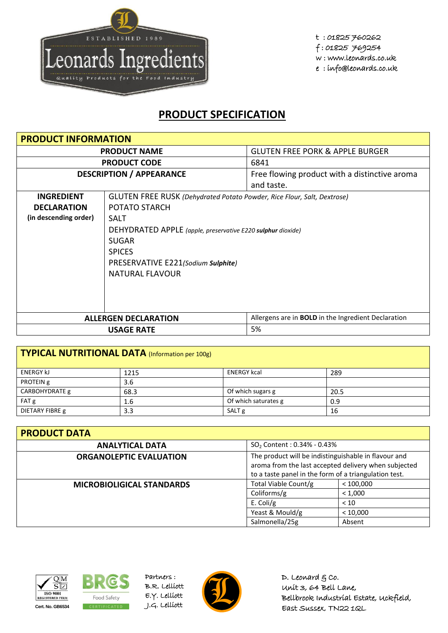

## **PRODUCT SPECIFICATION**

| <b>PRODUCT INFORMATION</b>      |                                                                                |                                                            |  |  |
|---------------------------------|--------------------------------------------------------------------------------|------------------------------------------------------------|--|--|
| <b>PRODUCT NAME</b>             |                                                                                | <b>GLUTEN FREE PORK &amp; APPLE BURGER</b>                 |  |  |
|                                 | <b>PRODUCT CODE</b>                                                            | 6841                                                       |  |  |
| <b>DESCRIPTION / APPEARANCE</b> |                                                                                | Free flowing product with a distinctive aroma              |  |  |
|                                 |                                                                                | and taste.                                                 |  |  |
| <b>INGREDIENT</b>               | <b>GLUTEN FREE RUSK</b> (Dehydrated Potato Powder, Rice Flour, Salt, Dextrose) |                                                            |  |  |
| <b>DECLARATION</b>              | POTATO STARCH                                                                  |                                                            |  |  |
| (in descending order)           | <b>SALT</b>                                                                    |                                                            |  |  |
|                                 | DEHYDRATED APPLE (apple, preservative E220 sulphur dioxide)                    |                                                            |  |  |
|                                 | <b>SUGAR</b>                                                                   |                                                            |  |  |
|                                 | <b>SPICES</b>                                                                  |                                                            |  |  |
|                                 | PRESERVATIVE E221(Sodium Sulphite)                                             |                                                            |  |  |
|                                 | NATURAL FLAVOUR                                                                |                                                            |  |  |
|                                 |                                                                                |                                                            |  |  |
|                                 |                                                                                |                                                            |  |  |
|                                 |                                                                                |                                                            |  |  |
| <b>ALLERGEN DECLARATION</b>     |                                                                                | Allergens are in <b>BOLD</b> in the Ingredient Declaration |  |  |
| 5%<br><b>USAGE RATE</b>         |                                                                                |                                                            |  |  |

| TYPICAL NUTRITIONAL DATA (Information per 100g) |      |                      |      |  |
|-------------------------------------------------|------|----------------------|------|--|
| <b>ENERGY KJ</b>                                | 1215 | <b>ENERGY kcal</b>   | 289  |  |
| PROTEIN g                                       | 3.6  |                      |      |  |
| CARBOHYDRATE g                                  | 68.3 | Of which sugars g    | 20.5 |  |
| FAT g                                           | 1.6  | Of which saturates g | 0.9  |  |
| DIETARY FIBRE g                                 | 3.3  | SALT <sub>g</sub>    | 16   |  |

| <b>PRODUCT DATA</b>              |                                                                                                                                                                       |          |  |  |
|----------------------------------|-----------------------------------------------------------------------------------------------------------------------------------------------------------------------|----------|--|--|
| <b>ANALYTICAL DATA</b>           | $SO_2$ Content : 0.34% - 0.43%                                                                                                                                        |          |  |  |
| <b>ORGANOLEPTIC EVALUATION</b>   | The product will be indistinguishable in flavour and<br>aroma from the last accepted delivery when subjected<br>to a taste panel in the form of a triangulation test. |          |  |  |
| <b>MICROBIOLIGICAL STANDARDS</b> | Total Viable Count/g<br>< 100,000                                                                                                                                     |          |  |  |
|                                  | Coliforms/g                                                                                                                                                           | < 1.000  |  |  |
|                                  | E. Coli/g                                                                                                                                                             | < 10     |  |  |
|                                  | Yeast & Mould/g                                                                                                                                                       | < 10,000 |  |  |
|                                  | Salmonella/25g                                                                                                                                                        | Absent   |  |  |





Partners : B.R. Lelliott E.Y. Lelliott



D. Leonard  $g$  co. Unit 3, 64 Bell Lane, Bellbrook Industrial Estate, Uckfield, East Sussex, TN22 1QL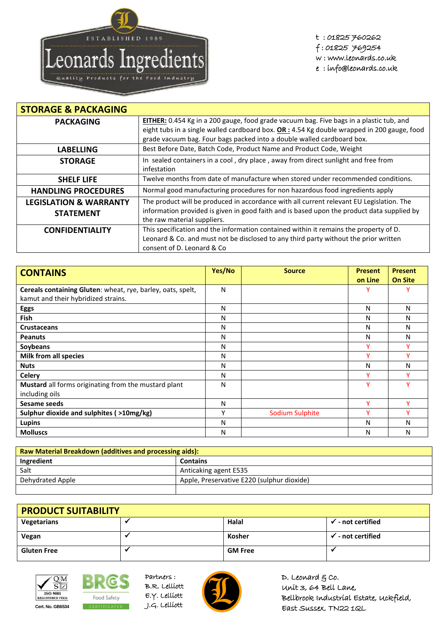

t : 01825 760262 f : 01825 769254 w : www.leonards.co.uk e : info@leonards.co.uk

| <b>STORAGE &amp; PACKAGING</b>    |                                                                                                                           |
|-----------------------------------|---------------------------------------------------------------------------------------------------------------------------|
| <b>PACKAGING</b>                  | EITHER: 0.454 Kg in a 200 gauge, food grade vacuum bag. Five bags in a plastic tub, and                                   |
|                                   | eight tubs in a single walled cardboard box. $OR: 4.54$ Kg double wrapped in 200 gauge, food                              |
|                                   | grade vacuum bag. Four bags packed into a double walled cardboard box.                                                    |
| <b>LABELLING</b>                  | Best Before Date, Batch Code, Product Name and Product Code, Weight                                                       |
| <b>STORAGE</b>                    | In sealed containers in a cool, dry place, away from direct sunlight and free from<br>infestation                         |
| <b>SHELF LIFE</b>                 | Twelve months from date of manufacture when stored under recommended conditions.                                          |
| <b>HANDLING PROCEDURES</b>        | Normal good manufacturing procedures for non hazardous food ingredients apply                                             |
| <b>LEGISLATION &amp; WARRANTY</b> | The product will be produced in accordance with all current relevant EU Legislation. The                                  |
| <b>STATEMENT</b>                  | information provided is given in good faith and is based upon the product data supplied by<br>the raw material suppliers. |
| <b>CONFIDENTIALITY</b>            | This specification and the information contained within it remains the property of D.                                     |
|                                   | Leonard & Co. and must not be disclosed to any third party without the prior written                                      |
|                                   | consent of D. Leonard & Co.                                                                                               |

| <b>CONTAINS</b>                                             | Yes/No | <b>Source</b>   | <b>Present</b> | <b>Present</b> |
|-------------------------------------------------------------|--------|-----------------|----------------|----------------|
|                                                             |        |                 | on Line        | <b>On Site</b> |
| Cereals containing Gluten: wheat, rye, barley, oats, spelt, | N      |                 | ν              |                |
| kamut and their hybridized strains.                         |        |                 |                |                |
| <b>Eggs</b>                                                 | N      |                 | N              | N              |
| <b>Fish</b>                                                 | N      |                 | N              | N              |
| <b>Crustaceans</b>                                          | N      |                 | Ν              | N              |
| <b>Peanuts</b>                                              | N      |                 | N              | N              |
| Soybeans                                                    | N      |                 |                |                |
| Milk from all species                                       | N      |                 |                |                |
| <b>Nuts</b>                                                 | N      |                 | Ν              | N              |
| <b>Celery</b>                                               | N      |                 | v              |                |
| Mustard all forms originating from the mustard plant        | N      |                 | ٧              |                |
| including oils                                              |        |                 |                |                |
| Sesame seeds                                                | N      |                 | v              | v              |
| Sulphur dioxide and sulphites ( >10mg/kg)                   | v      | Sodium Sulphite | v              |                |
| <b>Lupins</b>                                               | N      |                 | N              | N              |
| <b>Molluscs</b>                                             | N      |                 | N              | N              |

| Raw Material Breakdown (additives and processing aids): |                                            |  |
|---------------------------------------------------------|--------------------------------------------|--|
| Ingredient                                              | <b>Contains</b>                            |  |
| Salt                                                    | Anticaking agent E535                      |  |
| Dehydrated Apple                                        | Apple, Preservative E220 (sulphur dioxide) |  |
|                                                         |                                            |  |

| <b>PRODUCT SUITABILITY</b> |  |                |                              |  |
|----------------------------|--|----------------|------------------------------|--|
| Vegetarians                |  | Halal          | $\checkmark$ - not certified |  |
| Vegan                      |  | Kosher         | $\checkmark$ - not certified |  |
| <b>Gluten Free</b>         |  | <b>GM Free</b> |                              |  |





Partners : B.R. Lelliott E.Y. Lelliott



D. Leonard  $g$  co. Unit 3, 64 Bell Lane, Bellbrook Industrial Estate, Uckfield, East Sussex, TN22 1QL